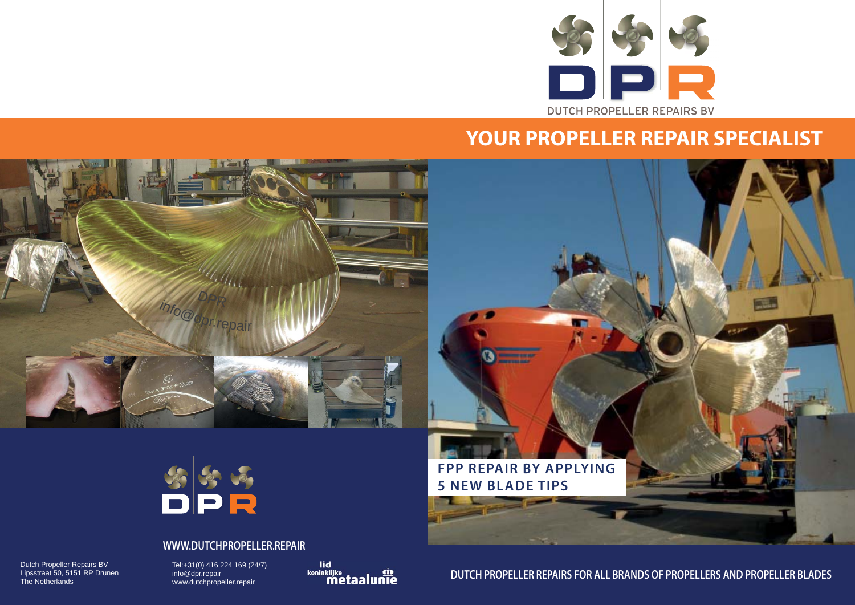**DUTCH PROPELLER REPAIRS FOR ALL BRANDS OF PROPELLERS AND PROPELLER BLADES**



# **YOUR PROPELLER REPAIR SPECIALIST**

#### **WWW.DUTCHPROPELLER.REPAIR**

Dutch Propeller Repairs BV Lipsstraat 50, 5151 RP Drunen The Netherlands

Tel:+31(0) 416 224 169 (24/7) info@dpr.repair www.dutchpropeller.repair

lid<br><sup>koninklijke</sup><br>**Metaalunie** 





**FPP REPAIR BY APPLYING** 

<u>e ma</u>

W

**5 NEW BLADE TIPS**